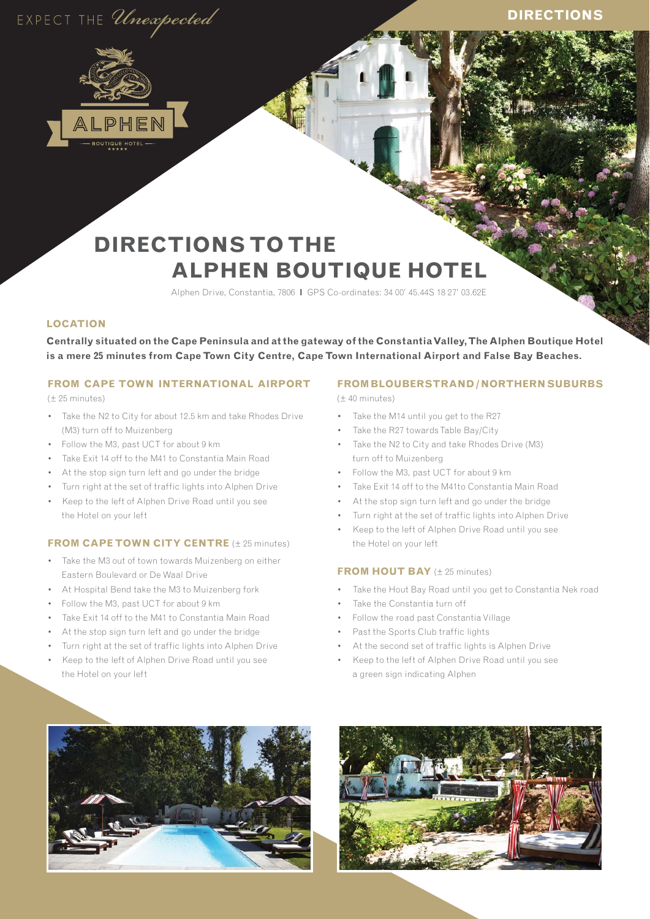# EXPECT THE Unexpected

# **DIRECTIONS**



# **DIRECTIONS TO THE ALPHEN BOUTIQUE HOTEL**

Alphen Drive, Constantia, 7806 **l** GPS Co-ordinates: 34 00' 45.44S 18 27' 03.62E

## **LOCATION**

**Centrally situated on the Cape Peninsula and at the gateway of the Constantia Valley, The Alphen Boutique Hotel is a mere 25 minutes from Cape Town City Centre, Cape Town International Airport and False Bay Beaches.**

#### **FROM CAPE TOWN INTERNATIONAL AIRPORT** (± 25 minutes)

- Take the N2 to City for about 12.5 km and take Rhodes Drive (M3) turn off to Muizenberg
- Follow the M3, past UCT for about 9 km
- Take Exit 14 off to the M41 to Constantia Main Road
- At the stop sign turn left and go under the bridge
- Turn right at the set of traffic lights into Alphen Drive
- Keep to the left of Alphen Drive Road until you see the Hotel on your left

#### **FROM CAPE TOWN CITY CENTRE** (± 25 minutes)

- Take the M3 out of town towards Muizenberg on either Eastern Boulevard or De Waal Drive
- At Hospital Bend take the M3 to Muizenberg fork
- Follow the M3, past UCT for about 9 km
- Take Exit 14 off to the M41 to Constantia Main Road
- At the stop sign turn left and go under the bridge
- Turn right at the set of traffic lights into Alphen Drive
- Keep to the left of Alphen Drive Road until you see the Hotel on your left

# **FROM BLOUBERSTRAND / NORTHERN SUBURBS**

(± 40 minutes)

- Take the M14 until you get to the R27
- Take the R27 towards Table Bay/City
- Take the N2 to City and take Rhodes Drive (M3) turn off to Muizenberg
- Follow the M3, past UCT for about 9 km
- Take Exit 14 off to the M41to Constantia Main Road
- At the stop sign turn left and go under the bridge
- Turn right at the set of traffic lights into Alphen Drive
- Keep to the left of Alphen Drive Road until you see the Hotel on your left

#### **FROM HOUT BAY** ( $\pm$  25 minutes)

- Take the Hout Bay Road until you get to Constantia Nek road
- Take the Constantia turn off
- Follow the road past Constantia Village
- Past the Sports Club traffic lights
- At the second set of traffic lights is Alphen Drive
- Keep to the left of Alphen Drive Road until you see a green sign indicating Alphen